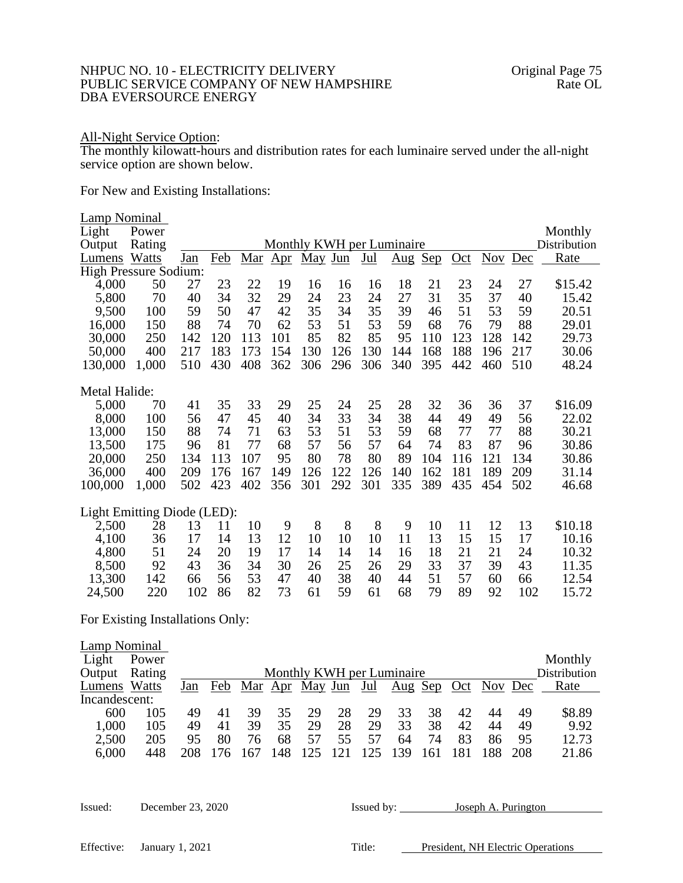## NHPUC NO. 10 - ELECTRICITY DELIVERY OF NEW HAMPSHIRE Original Page 75<br>PUBLIC SERVICE COMPANY OF NEW HAMPSHIRE Rate OL PUBLIC SERVICE COMPANY OF NEW HAMPSHIRE DBA EVERSOURCE ENERGY

## All-Night Service Option:

The monthly kilowatt-hours and distribution rates for each luminaire served under the all-night service option are shown below.

For New and Existing Installations:

| Lamp Nominal<br>Light<br>Output<br>Lumens Watts<br><b>High Pressure Sodium:</b> | Power<br>Rating | Jan      | Feb      | Mar      | $\Delta$ pr | May Jun  |          | $Jul$    | Monthly KWH per Luminaire<br>$\frac{\text{Aug}}{\text{Aug}}$ | Sep      | $Oct$    | <b>Nov</b> | Dec      | Monthly<br>Distribution<br>Rate |
|---------------------------------------------------------------------------------|-----------------|----------|----------|----------|-------------|----------|----------|----------|--------------------------------------------------------------|----------|----------|------------|----------|---------------------------------|
|                                                                                 |                 |          |          |          |             |          |          |          |                                                              |          |          | 24         |          |                                 |
| 4,000<br>5,800                                                                  | 50<br>70        | 27<br>40 | 23<br>34 | 22<br>32 | 19<br>29    | 16<br>24 | 16<br>23 | 16<br>24 | 18<br>27                                                     | 21<br>31 | 23<br>35 | 37         | 27<br>40 | \$15.42<br>15.42                |
| 9,500                                                                           | 100             | 59       | 50       | 47       | 42          | 35       | 34       | 35       | 39                                                           | 46       | 51       | 53         | 59       | 20.51                           |
| 16,000                                                                          | 150             | 88       | 74       | 70       | 62          | 53       | 51       | 53       | 59                                                           | 68       | 76       | 79         | 88       | 29.01                           |
| 30,000                                                                          | 250             | 142      | 120      | 113      | 101         | 85       | 82       | 85       | 95                                                           | 110      | 123      | 128        | 142      | 29.73                           |
| 50,000                                                                          | 400             | 217      | 183      | 173      | 154         | 130      | 126      | 130      | 144                                                          | 168      | 188      | 196        | 217      | 30.06                           |
| 130,000                                                                         | 1,000           | 510      | 430      | 408      | 362         | 306      | 296      | 306      | 340                                                          | 395      | 442      | 460        | 510      | 48.24                           |
| Metal Halide:                                                                   |                 |          |          |          |             |          |          |          |                                                              |          |          |            |          |                                 |
| 5,000                                                                           | 70              | 41       | 35       | 33       | 29          | 25       | 24       | 25       | 28                                                           | 32       | 36       | 36         | 37       | \$16.09                         |
| 8,000                                                                           | 100             | 56       | 47       | 45       | 40          | 34       | 33       | 34       | 38                                                           | 44       | 49       | 49         | 56       | 22.02                           |
| 13,000                                                                          | 150             | 88       | 74       | 71       | 63          | 53       | 51       | 53       | 59                                                           | 68       | 77       | 77         | 88       | 30.21                           |
| 13,500                                                                          | 175             | 96       | 81       | 77       | 68          | 57       | 56       | 57       | 64                                                           | 74       | 83       | 87         | 96       | 30.86                           |
| 20,000                                                                          | 250             | 134      | 113      | 107      | 95          | 80       | 78       | 80       | 89                                                           | 104      | 116      | 121        | 134      | 30.86                           |
| 36,000                                                                          | 400             | 209      | 176      | 167      | 149         | 126      | 122      | 126      | 140                                                          | 162      | 181      | 189        | 209      | 31.14                           |
| 100,000                                                                         | 1,000           | 502      | 423      | 402      | 356         | 301      | 292      | 301      | 335                                                          | 389      | 435      | 454        | 502      | 46.68                           |
| Light Emitting Diode (LED):                                                     |                 |          |          |          |             |          |          |          |                                                              |          |          |            |          |                                 |
| 2,500                                                                           | 28              | 13       | 11       | 10       | 9           | 8        | 8        | 8        | 9                                                            | 10       | 11       | 12         | 13       | \$10.18                         |
| 4,100                                                                           | 36              | 17       | 14       | 13       | 12          | 10       | 10       | 10       | 11                                                           | 13       | 15       | 15         | 17       | 10.16                           |
| 4,800                                                                           | 51              | 24       | 20       | 19       | 17          | 14       | 14       | 14       | 16                                                           | 18       | 21       | 21         | 24       | 10.32                           |
| 8,500                                                                           | 92              | 43       | 36       | 34       | 30          | 26       | 25       | 26       | 29                                                           | 33       | 37       | 39         | 43       | 11.35                           |
| 13,300                                                                          | 142             | 66       | 56       | 53       | 47          | 40       | 38       | 40       | 44                                                           | 51       | 57       | 60         | 66       | 12.54                           |
| 24,500                                                                          | 220             | 102      | 86       | 82       | 73          | 61       | 59       | 61       | 68                                                           | 79       | 89       | 92         | 102      | 15.72                           |

For Existing Installations Only:

| Lamp Nominal<br>Light<br>Output | Power<br>Rating |     |     |    |     | Monthly KWH per Luminaire |    |     |         |    |    |             |     | Monthly<br><b>Distribution</b> |
|---------------------------------|-----------------|-----|-----|----|-----|---------------------------|----|-----|---------|----|----|-------------|-----|--------------------------------|
| Lumens Watts                    |                 | Jan | Feb |    |     | <u>Mar Apr May Jun</u>    |    | Jul | Aug Sep |    |    | Oct Nov Dec |     | Rate                           |
| Incandescent:                   |                 |     |     |    |     |                           |    |     |         |    |    |             |     |                                |
| 600                             | 105             | 49  | 41  | 39 | 35  | 29                        | 28 | 29  | 33      | 38 | 42 | 44          | 49  | \$8.89                         |
| 1,000                           | 105             | 49  | 41  | 39 | 35  | 29                        | 28 | 29  | 33      | 38 | 42 | 44          | 49  | 9.92                           |
| 2,500                           | 205             | 95  | 80  | 76 | 68  | 57                        | 55 | 57  | 64      | 74 | 83 | 86          | 95  | 12.73                          |
| 6,000                           | 448             | 208 |     |    | 148 |                           |    |     |         |    |    |             | 208 | 21.86                          |

| Issued: | December 23, 2020 | Issued by: |
|---------|-------------------|------------|
|         |                   |            |

Ioseph A. Purington

Effective: January 1, 2021 Title: President, NH Electric Operations